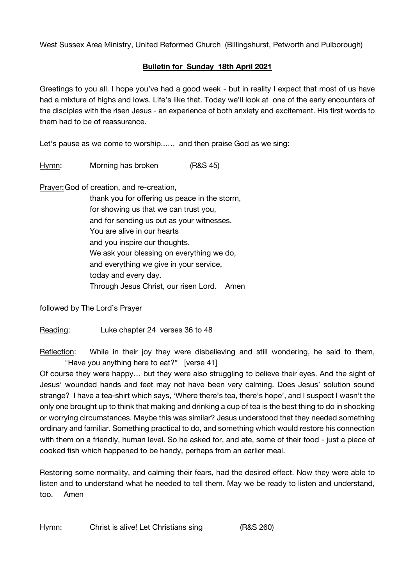West Sussex Area Ministry, United Reformed Church (Billingshurst, Petworth and Pulborough)

## **Bulletin for Sunday 18th April 2021**

Greetings to you all. I hope you've had a good week - but in reality I expect that most of us have had a mixture of highs and lows. Life's like that. Today we'll look at one of the early encounters of the disciples with the risen Jesus - an experience of both anxiety and excitement. His first words to them had to be of reassurance.

Let's pause as we come to worship..…. and then praise God as we sing:

Hymn: Morning has broken (R&S 45)

Prayer:God of creation, and re-creation,

thank you for offering us peace in the storm, for showing us that we can trust you, and for sending us out as your witnesses. You are alive in our hearts and you inspire our thoughts. We ask your blessing on everything we do, and everything we give in your service, today and every day. Through Jesus Christ, our risen Lord. Amen

followed by The Lord's Prayer

Reading: Luke chapter 24 verses 36 to 48

Reflection: While in their joy they were disbelieving and still wondering, he said to them, "Have you anything here to eat?" [verse 41]

Of course they were happy… but they were also struggling to believe their eyes. And the sight of Jesus' wounded hands and feet may not have been very calming. Does Jesus' solution sound strange? I have a tea-shirt which says, 'Where there's tea, there's hope', and I suspect I wasn't the only one brought up to think that making and drinking a cup of tea is the best thing to do in shocking or worrying circumstances. Maybe this was similar? Jesus understood that they needed something ordinary and familiar. Something practical to do, and something which would restore his connection with them on a friendly, human level. So he asked for, and ate, some of their food - just a piece of cooked fish which happened to be handy, perhaps from an earlier meal.

Restoring some normality, and calming their fears, had the desired effect. Now they were able to listen and to understand what he needed to tell them. May we be ready to listen and understand, too. Amen